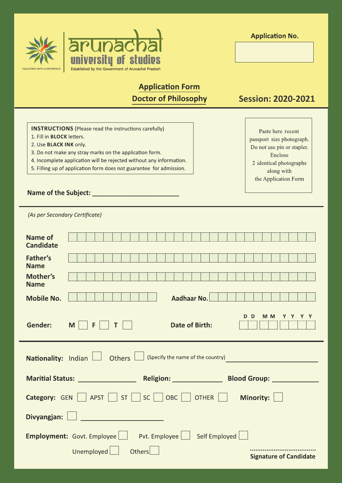

**Application No.** 

# **Application Form Doctor of Philosophy**

**Session: 2020-2021** 

Paste here recent

passport size photograph.

Do not use pin or stapler.

Enclose

2 identical photographs

along with the Application Form

**INSTRUCTIONS** (Please read the instructions carefully)

- 1. Fill in **BLOCK** letters.
- 2. Use BLACK INK only.
- 3. Do not make any stray marks on the application form.
- 4. Incomplete application will be rejected without any information.
- 5. Filling up of application form does not guarantee for admission.

## 

(As per Secondary Certificate)

| Name of<br><b>Candidate</b>                                      |                                                                                                                |  |  |  |  |
|------------------------------------------------------------------|----------------------------------------------------------------------------------------------------------------|--|--|--|--|
| Father's<br><b>Name</b>                                          |                                                                                                                |  |  |  |  |
| Mother's<br><b>Name</b>                                          |                                                                                                                |  |  |  |  |
| <b>Mobile No.</b>                                                | Aadhaar No.                                                                                                    |  |  |  |  |
| <b>Gender:</b>                                                   | M <sub>M</sub><br>D <sub>D</sub><br>Y.<br>Y<br>Y<br>Date of Birth:<br>M                                        |  |  |  |  |
| Nationality: Indian   Others   (Specify the name of the country) |                                                                                                                |  |  |  |  |
|                                                                  |                                                                                                                |  |  |  |  |
|                                                                  | Maritial Status: Maritial Status: Maritial Status: Maritial Status: Maritial Status: Maritial Status: Maritial |  |  |  |  |
|                                                                  | <b>Category:</b> GEN     APST     ST     SC     OBC     OTHER    <br>Minority:                                 |  |  |  |  |
| Divyangjan:                                                      |                                                                                                                |  |  |  |  |
|                                                                  | <b>Employment:</b> Govt. Employee   Pvt. Employee   Self Employed                                              |  |  |  |  |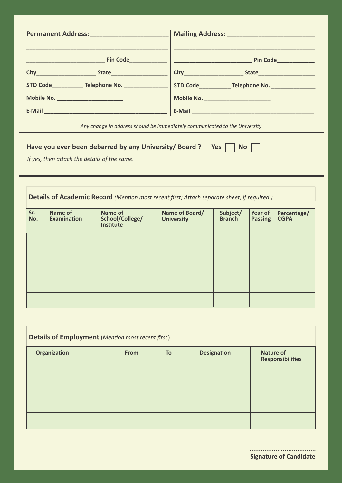|                                                                            | Mailing Address: Manual Mailing Address: Manual Manual Manual Manual Manual Manual Manual Manual Manual Manual |  |  |  |
|----------------------------------------------------------------------------|----------------------------------------------------------------------------------------------------------------|--|--|--|
|                                                                            |                                                                                                                |  |  |  |
|                                                                            |                                                                                                                |  |  |  |
|                                                                            | STD Code______________Telephone No. _______________________  STD Code_____________ Telephone No. _____________ |  |  |  |
| Mobile No. _______________________                                         | Mobile No. __________________________                                                                          |  |  |  |
|                                                                            |                                                                                                                |  |  |  |
| Any change in address should be immediately communicated to the University |                                                                                                                |  |  |  |
| Have you ever been debarred by any University/Board ? Yes<br>No            |                                                                                                                |  |  |  |

*If yes, then attach the details of the same.* 

| Details of Academic Record (Mention most recent first; Attach separate sheet, if required.) |                                      |                                                       |                                     |                           |                           |                            |
|---------------------------------------------------------------------------------------------|--------------------------------------|-------------------------------------------------------|-------------------------------------|---------------------------|---------------------------|----------------------------|
| Sr.<br>No.                                                                                  | <b>Name of</b><br><b>Examination</b> | <b>Name of</b><br>School/College/<br><b>Institute</b> | Name of Board/<br><b>University</b> | Subject/<br><b>Branch</b> | Year of<br><b>Passing</b> | Percentage/<br><b>CGPA</b> |
|                                                                                             |                                      |                                                       |                                     |                           |                           |                            |
|                                                                                             |                                      |                                                       |                                     |                           |                           |                            |
|                                                                                             |                                      |                                                       |                                     |                           |                           |                            |
|                                                                                             |                                      |                                                       |                                     |                           |                           |                            |
|                                                                                             |                                      |                                                       |                                     |                           |                           |                            |

| <b>Details of Employment</b> (Mention most recent first) |             |    |                    |                                             |  |
|----------------------------------------------------------|-------------|----|--------------------|---------------------------------------------|--|
| <b>Organization</b>                                      | <b>From</b> | To | <b>Designation</b> | <b>Nature of</b><br><b>Responsibilities</b> |  |
|                                                          |             |    |                    |                                             |  |
|                                                          |             |    |                    |                                             |  |
|                                                          |             |    |                    |                                             |  |
|                                                          |             |    |                    |                                             |  |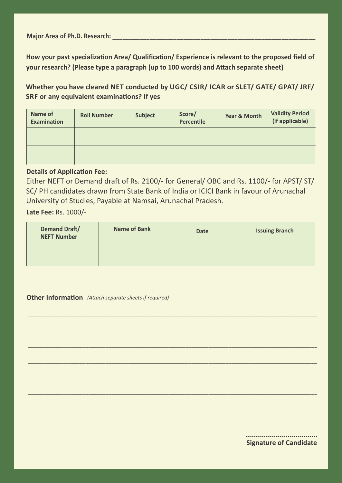**Major Area of Ph.D. Research:** 

How your past specialization Area/ Qualification/ Experience is relevant to the proposed field of **your research? (Please type a paragraph (up to 100 words) and Attach separate sheet)** 

**Whether you have cleared NET conducted by UGC/ CSIR/ ICAR or SLET/ GATE/ GPAT/ JRF/ SRF or any equivalent examinations? If yes** 

| Name of<br><b>Examination</b> | <b>Roll Number</b> | <b>Subject</b> | Score/<br><b>Percentile</b> | Year & Month | <b>Validity Period</b><br>(if applicable) |
|-------------------------------|--------------------|----------------|-----------------------------|--------------|-------------------------------------------|
|                               |                    |                |                             |              |                                           |
|                               |                    |                |                             |              |                                           |

## **Details of Application Fee:**

Either NEFT or Demand draft of Rs. 2100/- for General/ OBC and Rs. 1100/- for APST/ ST/ SC/ PH candidates drawn from State Bank of India or ICICI Bank in favour of Arunachal University of Studies, Payable at Namsai, Arunachal Pradesh.

**Late Fee:** Rs. 1000/-

| <b>Demand Draft/</b><br><b>NEFT Number</b> | <b>Name of Bank</b> | <b>Date</b> | <b>Issuing Branch</b> |
|--------------------------------------------|---------------------|-------------|-----------------------|
|                                            |                     |             |                       |

\_\_\_\_\_\_\_\_\_\_\_\_\_\_\_\_\_\_\_\_\_\_\_\_\_\_\_\_\_\_\_\_\_\_\_\_\_\_\_\_\_\_\_\_\_\_\_\_\_\_\_\_\_\_\_\_\_\_\_\_\_\_\_\_\_\_\_\_\_\_\_\_\_\_\_\_\_\_\_\_\_\_\_\_\_\_\_\_\_\_\_\_\_\_\_\_\_\_\_\_\_

\_\_\_\_\_\_\_\_\_\_\_\_\_\_\_\_\_\_\_\_\_\_\_\_\_\_\_\_\_\_\_\_\_\_\_\_\_\_\_\_\_\_\_\_\_\_\_\_\_\_\_\_\_\_\_\_\_\_\_\_\_\_\_\_\_\_\_\_\_\_\_\_\_\_\_\_\_\_\_\_\_\_\_\_\_\_\_\_\_\_\_\_\_\_\_\_\_\_\_\_\_

\_\_\_\_\_\_\_\_\_\_\_\_\_\_\_\_\_\_\_\_\_\_\_\_\_\_\_\_\_\_\_\_\_\_\_\_\_\_\_\_\_\_\_\_\_\_\_\_\_\_\_\_\_\_\_\_\_\_\_\_\_\_\_\_\_\_\_\_\_\_\_\_\_\_\_\_\_\_\_\_\_\_\_\_\_\_\_\_\_\_\_\_\_\_\_\_\_\_\_\_\_

\_\_\_\_\_\_\_\_\_\_\_\_\_\_\_\_\_\_\_\_\_\_\_\_\_\_\_\_\_\_\_\_\_\_\_\_\_\_\_\_\_\_\_\_\_\_\_\_\_\_\_\_\_\_\_\_\_\_\_\_\_\_\_\_\_\_\_\_\_\_\_\_\_\_\_\_\_\_\_\_\_\_\_\_\_\_\_\_\_\_\_\_\_\_\_\_\_\_\_\_\_

\_\_\_\_\_\_\_\_\_\_\_\_\_\_\_\_\_\_\_\_\_\_\_\_\_\_\_\_\_\_\_\_\_\_\_\_\_\_\_\_\_\_\_\_\_\_\_\_\_\_\_\_\_\_\_\_\_\_\_\_\_\_\_\_\_\_\_\_\_\_\_\_\_\_\_\_\_\_\_\_\_\_\_\_\_\_\_\_\_\_\_\_\_\_\_\_\_\_\_\_\_

\_\_\_\_\_\_\_\_\_\_\_\_\_\_\_\_\_\_\_\_\_\_\_\_\_\_\_\_\_\_\_\_\_\_\_\_\_\_\_\_\_\_\_\_\_\_\_\_\_\_\_\_\_\_\_\_\_\_\_\_\_\_\_\_\_\_\_\_\_\_\_\_\_\_\_\_\_\_\_\_\_\_\_\_\_\_\_\_\_\_\_\_\_\_\_\_\_\_\_\_\_

## **Other Information** (Attach separate sheets if required)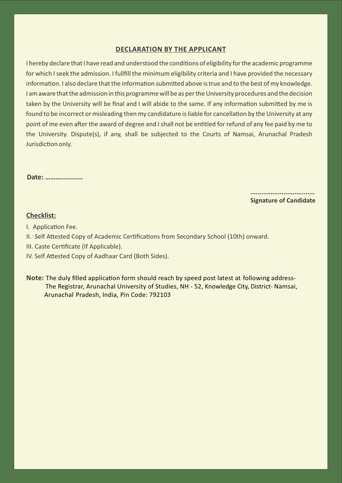## **DECLARATION BY THE APPLICANT**

I hereby declare that I have read and understood the conditions of eligibility for the academic programme for which I seek the admission. I fullfill the minimum eligibility criteria and I have provided the necessary information. I also declare that the information submitted above is true and to the best of my knowledge. I am aware that the admission in this programme will be as per the University procedures and the decision taken by the University will be final and I will abide to the same. If any information submitted by me is found to be incorrect or misleading then my candidature is liable for cancellation by the University at any point of me even after the award of degree and I shall not be entitled for refund of any fee paid by me to the University. Dispute(s), if any, shall be subjected to the Courts of Namsai, Arunachal Pradesh Jurisdiction only.

#### **Date: ………...........**

 **................................... Signature of Candidate**

### **Checklist:**

- I. Application Fee.
- II. Self Attested Copy of Academic Certifications from Secondary School (10th) onward.
- III. Caste Certificate (If Applicable).
- IV. Self Attested Copy of Aadhaar Card (Both Sides).
- Note: The duly filled application form should reach by speed post latest at following address- The Registrar, Arunachal University of Studies, NH - 52, Knowledge City, District- Namsai, Arunachal Pradesh, India, Pin Code: 792103